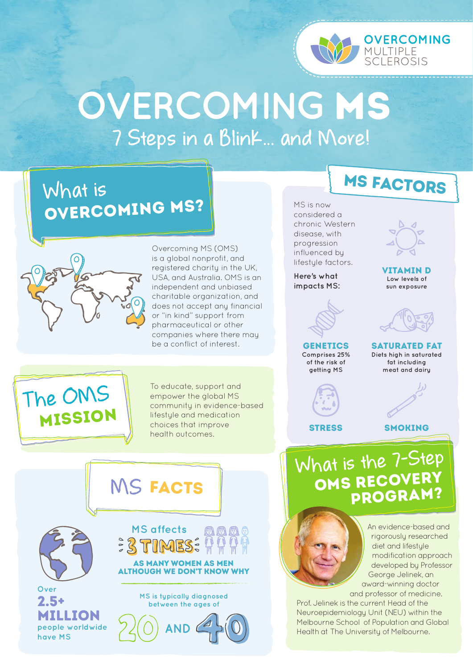

## **OVERCOMING** MS **7 Steps in a Blink... and More!**

### **What is** overcoming ms?



Overcoming MS (OMS) is a global nonprofit, and registered charity in the UK, USA, and Australia. OMS is an independent and unbiased charitable organization, and does not accept any financial or "in kind" support from pharmaceutical or other companies where there may be a conflict of interest.

ms factors

MS is now considered a chronic Western disease, with progression influenced by lifestyle factors.

**Here's what impacts MS:**



**GENETICS Comprises 25% of the risk of getting MS**

**STRESS** 



**sun exposure**

saturated fat **Diets high in saturated fat including meat and dairy**

smoking



To educate, support and empower the global MS community in evidence-based lifestyle and medication choices that improve health outcomes.



**What is the 7-Step** OMS RECOVERY program?



Prof. Jelinek is the current Head of the Neuroepidemiology Unit (NEU) within the Melbourne School of Population and Global Health at The University of Melbourne.